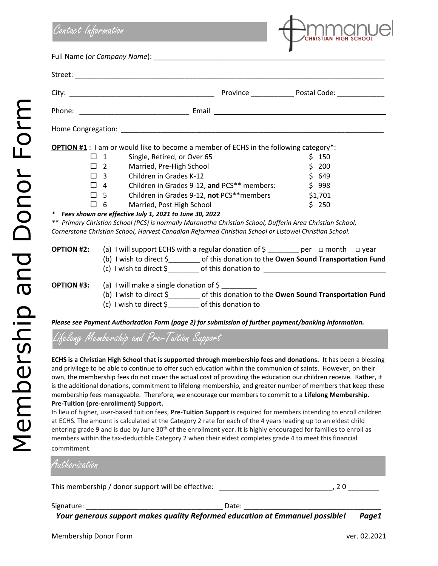

*Please see Payment Authorization Form (page 2) for submission of further payment/banking information.*

Lifelong Membership and Pre-Tuition Support

**ECHS is a Christian High School that is supported through membership fees and donations.** It has been a blessing and privilege to be able to continue to offer such education within the communion of saints. However, on their own, the membership fees do not cover the actual cost of providing the education our children receive. Rather, it is the additional donations, commitment to lifelong membership, and greater number of members that keep these membership fees manageable. Therefore, we encourage our members to commit to a **Lifelong Membership**. **Pre-Tuition (pre-enrollment) Support.**

In lieu of higher, user-based tuition fees, **Pre-Tuition Support** is required for members intending to enroll children at ECHS. The amount is calculated at the Category 2 rate for each of the 4 years leading up to an eldest child entering grade 9 and is due by June 30<sup>th</sup> of the enrollment year. It is highly encouraged for families to enroll as members within the tax-deductible Category 2 when their eldest completes grade 4 to meet this financial commitment.

| Authorization                                      |       |  |
|----------------------------------------------------|-------|--|
| This membership / donor support will be effective: |       |  |
| Signature:                                         | Date: |  |

*Your generous support makes quality Reformed education at Emmanuel possible! Page1*

Membership and Donor Form